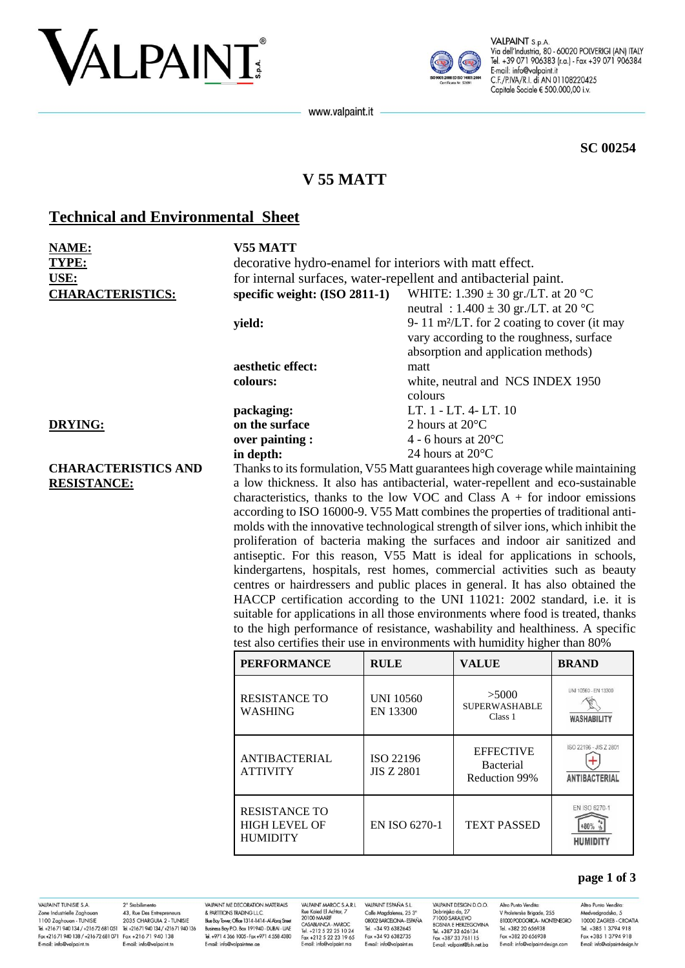# VALPAINT



VALPAINT S.p.A. Via dell'Industria, 80 - 60020 POLVERIGI (AN) ITALY Tel. +39 071 906383 (r.a.) - Fax +39 071 906384 E-mail: info@valpaint.it C.F./P.IVA/R.I. di AN 01108220425 Capitale Sociale € 500.000,00 i.v.

www.valpaint.it

**SC 00254**

# **V 55 MATT**

## **Technical and Environmental Sheet**

| <b>NAME:</b><br>TYPE:      | V55 MATT<br>decorative hydro-enamel for interiors with matt effect.                |                              |                                                                                |                                            |  |  |
|----------------------------|------------------------------------------------------------------------------------|------------------------------|--------------------------------------------------------------------------------|--------------------------------------------|--|--|
| <b>USE:</b>                | for internal surfaces, water-repellent and antibacterial paint.                    |                              |                                                                                |                                            |  |  |
| <b>CHARACTERISTICS:</b>    | specific weight: (ISO 2811-1)                                                      |                              | WHITE: $1.390 \pm 30$ gr./LT. at 20 °C                                         |                                            |  |  |
|                            |                                                                                    |                              | neutral : $1.400 \pm 30$ gr./LT. at 20 °C                                      |                                            |  |  |
|                            | yield:                                                                             |                              | 9-11 m <sup>2</sup> /LT. for 2 coating to cover (it may                        |                                            |  |  |
|                            |                                                                                    |                              | vary according to the roughness, surface                                       |                                            |  |  |
|                            |                                                                                    |                              | absorption and application methods)                                            |                                            |  |  |
|                            | aesthetic effect:                                                                  | matt                         | white, neutral and NCS INDEX 1950                                              |                                            |  |  |
|                            | colours:                                                                           |                              |                                                                                |                                            |  |  |
|                            |                                                                                    | colours                      |                                                                                |                                            |  |  |
|                            | packaging:                                                                         |                              | LT. 1 - LT. 4- LT. 10                                                          |                                            |  |  |
| <b>DRYING:</b>             | on the surface                                                                     | 2 hours at 20°C              |                                                                                |                                            |  |  |
|                            | over painting :                                                                    |                              | 4 - 6 hours at $20^{\circ}$ C                                                  |                                            |  |  |
|                            | in depth:                                                                          |                              | 24 hours at $20^{\circ}$ C                                                     |                                            |  |  |
| <b>CHARACTERISTICS AND</b> |                                                                                    |                              | Thanks to its formulation, V55 Matt guarantees high coverage while maintaining |                                            |  |  |
| <b>RESISTANCE:</b>         | a low thickness. It also has antibacterial, water-repellent and eco-sustainable    |                              |                                                                                |                                            |  |  |
|                            | characteristics, thanks to the low VOC and Class $A +$ for indoor emissions        |                              |                                                                                |                                            |  |  |
|                            | according to ISO 16000-9. V55 Matt combines the properties of traditional anti-    |                              |                                                                                |                                            |  |  |
|                            | molds with the innovative technological strength of silver ions, which inhibit the |                              |                                                                                |                                            |  |  |
|                            | proliferation of bacteria making the surfaces and indoor air sanitized and         |                              |                                                                                |                                            |  |  |
|                            | antiseptic. For this reason, V55 Matt is ideal for applications in schools,        |                              |                                                                                |                                            |  |  |
|                            | kindergartens, hospitals, rest homes, commercial activities such as beauty         |                              |                                                                                |                                            |  |  |
|                            | centres or hairdressers and public places in general. It has also obtained the     |                              |                                                                                |                                            |  |  |
|                            | HACCP certification according to the UNI 11021: 2002 standard, i.e. it is          |                              |                                                                                |                                            |  |  |
|                            | suitable for applications in all those environments where food is treated, thanks  |                              |                                                                                |                                            |  |  |
|                            | to the high performance of resistance, washability and healthiness. A specific     |                              |                                                                                |                                            |  |  |
|                            | test also certifies their use in environments with humidity higher than 80%        |                              |                                                                                |                                            |  |  |
|                            | <b>PERFORMANCE</b>                                                                 | <b>RULE</b>                  | <b>VALUE</b>                                                                   | <b>BRAND</b>                               |  |  |
|                            | <b>RESISTANCE TO</b><br><b>WASHING</b>                                             | <b>UNI 10560</b><br>EN 13300 | >5000<br><b>SUPERWASHABLE</b><br>Class 1                                       | UNI 10560 - EN 13300<br><b>WASHABILITY</b> |  |  |

|                                                                 |                                | Class 1                                        | <b>WASHABILITY</b>                             |
|-----------------------------------------------------------------|--------------------------------|------------------------------------------------|------------------------------------------------|
| <b>ANTIBACTERIAL</b><br><b>ATTIVITY</b>                         | ISO 22196<br><b>JIS Z 2801</b> | <b>EFFECTIVE</b><br>Bacterial<br>Reduction 99% | ISO 22196 - JIS Z 2801<br><b>ANTIBACTERIAL</b> |
| <b>RESISTANCE TO</b><br><b>HIGH LEVEL OF</b><br><b>HUMIDITY</b> | EN ISO 6270-1                  | <b>TEXT PASSED</b>                             | EN ISO 6270-1<br><b>HUMIDITY</b>               |

VALPAINT TUNISIE S.A. E-mail: info@valpaint.tn

2° Stabilimento VALPAINT IUNISIE S.A. 2<sup>2</sup> Stabilimento<br>
2018 Industrielle Zaghouan 43, Rue Des Entrepreneurs<br>
1100 Zaghouan - TUNISIE 2035 CHARGUIA 2 - TUNISIE<br>
Tel. +21671 940 134 / +21672 681 051 - Tel. +21671 940 134<br>
Fax +21671 940 1 E-mail: info@valpaint to

VALPAINT ME DECORATION MATERIALS & PARTITIONS TRADING L.L.C.<br>& PARTITIONS TRADING L.L.C.<br>Blue Bay Tower, Office 1314-1414-Al Abraj Street Business Boy PO Box 191940 - DUBAI - UAF Tel. +971 4 366 1005 - Fax +971 4 558 4380 E-mail: info@valpaintme.ae

VALPAINT MAROC S.A.R.L VALPAINT MAROC S.A.R.L<br>Rue Kaied El Achtar, 7<br>20100 MAARIF<br>CASABLANCA - MAROC<br>Tel. +212 5 22 25 10 24<br>Fax +212 5 22 23 19 65<br>E-mail: info@valpaint.ma

VALPAINT ESPAÑA S.L. Calle Magdalenes, 25 3°<br>08002 BARCELONA - ESPAÑA Tel +34 93 6382645 Fax +34 93 6382735 E-mail: info@valpaint.es

VALPAINT DESIGN D.O.O. Altro Punto Vendita: VALPAINT DESIGN D.O.O.<br>Dobrinjka do, 27<br>71000 SARAJEVO<br>BOSNIA E HERZEGOVINA<br>Tel. +387 33 626134<br>Fax +387 33 761115 Tel +382 20 656938 Fax +382 20 656938 E-mail: valpaint@bih.net.ba

Altro Punto Vendita: V Proleterske Brigade, 255<br>81000 PODGORICA - MONTENEGRO E-mail: info@valpaint-design.com

Medvedgradska, 5<br>10000 ZAGREB - CROATIA Tel +385 1 3794 918 Fax +385 1 3794 918 E-mail: info@valpaint-design.hr

**page 1 of 3**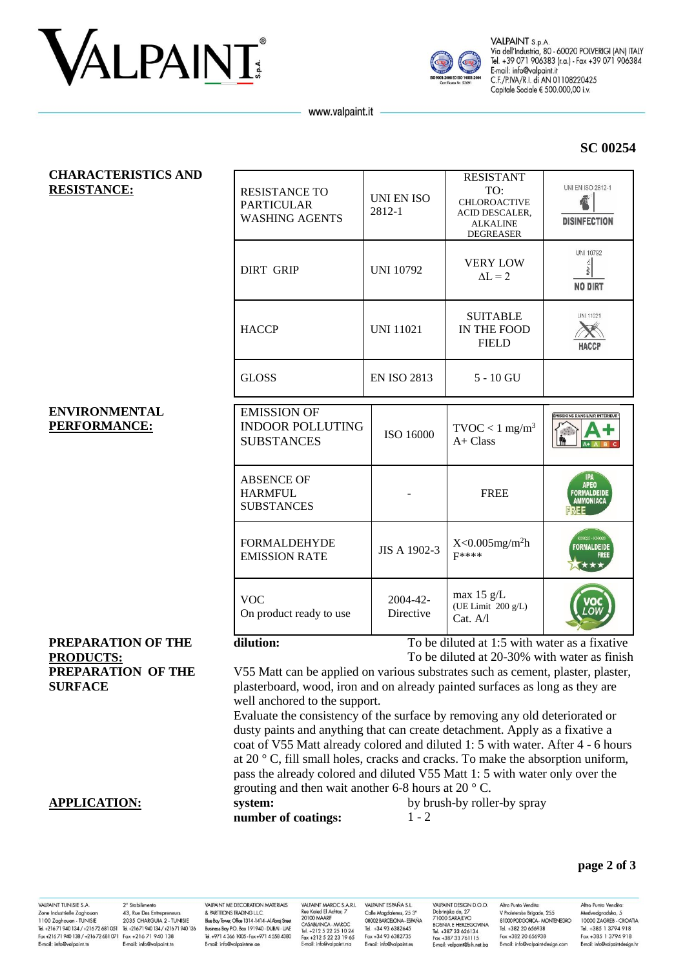



VALPAINT S.p.A. Via dell'Industria, 80 - 60020 POLVERIGI (AN) ITALY Tel. +39 071 906383 (r.a.) - Fax +39 071 906384 E-mail: info@valpaint.it C.F./P.IVA/R.I. di AN 01108220425 Capitale Sociale € 500.000,00 i.v.

www.valpaint.it

### **SC 00254**

| <b>CHARACTERISTICS AND</b><br><b>RESISTANCE:</b> | <b>RESISTANCE TO</b><br><b>PARTICULAR</b><br><b>WASHING AGENTS</b>                                                                                                 | UNI EN ISO<br>2812-1  | <b>RESISTANT</b><br>TO:<br>CHLOROACTIVE<br>ACID DESCALER,<br><b>ALKALINE</b><br><b>DEGREASER</b> | <b>UNI EN ISO 2812-1</b><br><b>DISINFECTION</b> |  |  |
|--------------------------------------------------|--------------------------------------------------------------------------------------------------------------------------------------------------------------------|-----------------------|--------------------------------------------------------------------------------------------------|-------------------------------------------------|--|--|
|                                                  | <b>DIRT GRIP</b>                                                                                                                                                   | <b>UNI 10792</b>      | <b>VERY LOW</b><br>$\Delta L = 2$                                                                | UNI 10792<br>RRV SN<br><b>NO DIRT</b>           |  |  |
|                                                  | <b>HACCP</b>                                                                                                                                                       | <b>UNI 11021</b>      | <b>SUITABLE</b><br>IN THE FOOD<br><b>FIELD</b>                                                   | <b>UNI 11021</b><br>HACCP                       |  |  |
|                                                  | <b>GLOSS</b>                                                                                                                                                       | <b>EN ISO 2813</b>    | $5 - 10$ GU                                                                                      |                                                 |  |  |
| <b>ENVIRONMENTAL</b><br>PERFORMANCE:             | <b>EMISSION OF</b><br><b>INDOOR POLLUTING</b><br><b>SUBSTANCES</b>                                                                                                 | ISO 16000             | $\text{TVOC} < 1 \text{ mg/m}^3$<br>$A+Class$                                                    | ÉMISSIONS DANS L'AIR INTÉRIEURY<br>Lin          |  |  |
|                                                  | <b>ABSENCE OF</b><br><b>HARMFUL</b><br><b>SUBSTANCES</b>                                                                                                           |                       | <b>FREE</b>                                                                                      | IPA<br>APEO<br>FORMALDEIDE<br>AMMONIACA         |  |  |
|                                                  | <b>FORMALDEHYDE</b><br><b>EMISSION RATE</b>                                                                                                                        | JIS A 1902-3          | $X<0.005$ mg/m <sup>2</sup> h<br>F****                                                           | <b>FORMALDEIDE</b>                              |  |  |
|                                                  | <b>VOC</b><br>On product ready to use                                                                                                                              | 2004-42-<br>Directive | max $15 \text{ g/L}$<br>(UE Limit 200 g/L)<br>Cat. A/l                                           |                                                 |  |  |
| PREPARATION OF THE                               | dilution:<br>To be diluted at 1:5 with water as a fixative                                                                                                         |                       |                                                                                                  |                                                 |  |  |
| <b>PRODUCTS:</b>                                 | To be diluted at 20-30% with water as finish                                                                                                                       |                       |                                                                                                  |                                                 |  |  |
| PREPARATION OF THE<br><b>SURFACE</b>             | V55 Matt can be applied on various substrates such as cement, plaster, plaster,<br>plasterboard, wood, iron and on already painted surfaces as long as they are    |                       |                                                                                                  |                                                 |  |  |
|                                                  | well anchored to the support.                                                                                                                                      |                       |                                                                                                  |                                                 |  |  |
|                                                  | Evaluate the consistency of the surface by removing any old deteriorated or                                                                                        |                       |                                                                                                  |                                                 |  |  |
|                                                  | dusty paints and anything that can create detachment. Apply as a fixative a                                                                                        |                       |                                                                                                  |                                                 |  |  |
|                                                  | coat of V55 Matt already colored and diluted 1: 5 with water. After 4 - 6 hours<br>at 20 ° C, fill small holes, cracks and cracks. To make the absorption uniform, |                       |                                                                                                  |                                                 |  |  |
|                                                  | pass the already colored and diluted V55 Matt 1: 5 with water only over the                                                                                        |                       |                                                                                                  |                                                 |  |  |
|                                                  | grouting and then wait another 6-8 hours at 20 $\degree$ C.                                                                                                        |                       |                                                                                                  |                                                 |  |  |
| <b>APPLICATION:</b>                              | system:                                                                                                                                                            |                       | by brush-by roller-by spray                                                                      |                                                 |  |  |
|                                                  | number of coatings:                                                                                                                                                | $1 - 2$               |                                                                                                  |                                                 |  |  |

#### page 2 of 3

VALPAINT TUNISIE S.A. VALPAINT IUNISIE S.A. 2<sup>2</sup> Stabilimento<br>
2018 Industrielle Zaghouan 43, Rue Des Entrepreneurs<br>
1100 Zaghouan - TUNISIE 2035 CHARGUIA 2 - TUNISIE<br>
Tel. +21671 940 134 / +21672 681 051 - Tel. +21671 940 134<br>
Fax +21671 940 1 E-mail: info@valpaint.tn

2° Stabilimento E-mail: info@valpaint to

VALPAINT ME DECORATION MATERIALS & PARTITIONS TRADING L.L.C.<br>& PARTITIONS TRADING L.L.C.<br>Blue Bay Tower, Office 1314-1414-Al Abraj Street Business Bay P.O. Box 191940 - DUBAI - UAE Tel. +971 4 366 1005 - Fax +971 4 558 4380 E-mail: info@valpaintme.ae

VALPAINT MAROC S.A.R.L<br>Rue Kaied El Achtar, 7<br>20100 MAARIF<br>CASABLANCA - MAROC<br>Tel. +212 5 22 23 19 65<br>E-mail: info@valpaint.ma VALPAINT ESPAÑA S.L. Calle Magdalenes, 25 3°<br>08002 BARCELONA - ESPAÑA Tel +34 93 6382645 Fax +34 93 6382735

E-mail: info@valpaint.es

VALPAINT DESIGN D.O.O. VALPAINT DESIGN D.O.O.<br>Dobrinjska do, 27<br>71000 SARAIEVO<br>BOSNIA E HERZEGOVINA<br>Tel. +387 33 626134<br>Fax +387 33 761115<br>E-mail: valpaint@bih.net.ba

Altro Punto Vendita: V Proleterske Brigade, 255<br>81000 PODGORICA - MONTENEGRO Tel +382 20 656938 Fax +382 20 656938 E-mail: info@valpaint-design.com

Altro Punto Vendita: Medvedgradska, 5<br>Nedvedgradska, 5<br>10000 ZAGREB - CROATIA Tel +385 1 3794 918 Fax +385 1 3794 918 E-mail: info@valpaint-design.hr